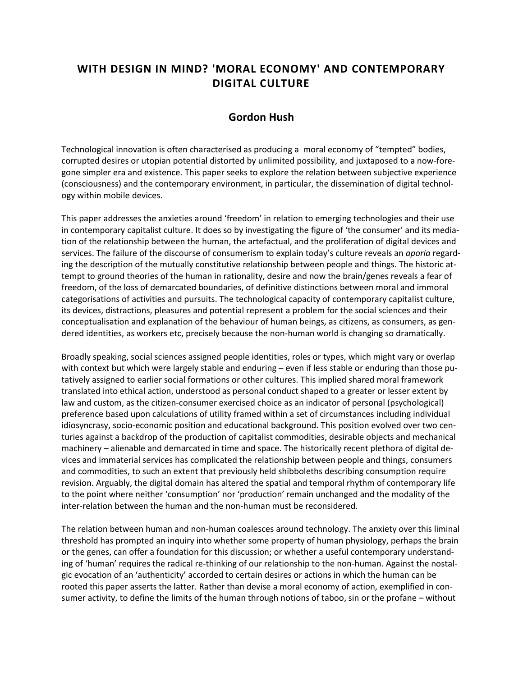## **WITH DESIGN IN MIND? 'MORAL ECONOMY' AND CONTEMPORARY DIGITAL CULTURE**

## **Gordon Hush**

Technological innovation is often characterised as producing a moral economy of "tempted" bodies, corrupted desires or utopian potential distorted by unlimited possibility, and juxtaposed to a now-foregone simpler era and existence. This paper seeks to explore the relation between subjective experience (consciousness) and the contemporary environment, in particular, the dissemination of digital technology within mobile devices.

This paper addresses the anxieties around 'freedom' in relation to emerging technologies and their use in contemporary capitalist culture. It does so by investigating the figure of 'the consumer' and its mediation of the relationship between the human, the artefactual, and the proliferation of digital devices and services. The failure of the discourse of consumerism to explain today's culture reveals an *aporia* regarding the description of the mutually constitutive relationship between people and things. The historic attempt to ground theories of the human in rationality, desire and now the brain/genes reveals a fear of freedom, of the loss of demarcated boundaries, of definitive distinctions between moral and immoral categorisations of activities and pursuits. The technological capacity of contemporary capitalist culture, its devices, distractions, pleasures and potential represent a problem for the social sciences and their conceptualisation and explanation of the behaviour of human beings, as citizens, as consumers, as gendered identities, as workers etc, precisely because the non-human world is changing so dramatically.

Broadly speaking, social sciences assigned people identities, roles or types, which might vary or overlap with context but which were largely stable and enduring – even if less stable or enduring than those putatively assigned to earlier social formations or other cultures. This implied shared moral framework translated into ethical action, understood as personal conduct shaped to a greater or lesser extent by law and custom, as the citizen-consumer exercised choice as an indicator of personal (psychological) preference based upon calculations of utility framed within a set of circumstances including individual idiosyncrasy, socio-economic position and educational background. This position evolved over two centuries against a backdrop of the production of capitalist commodities, desirable objects and mechanical machinery – alienable and demarcated in time and space. The historically recent plethora of digital devices and immaterial services has complicated the relationship between people and things, consumers and commodities, to such an extent that previously held shibboleths describing consumption require revision. Arguably, the digital domain has altered the spatial and temporal rhythm of contemporary life to the point where neither 'consumption' nor 'production' remain unchanged and the modality of the inter-relation between the human and the non-human must be reconsidered.

The relation between human and non-human coalesces around technology. The anxiety over this liminal threshold has prompted an inquiry into whether some property of human physiology, perhaps the brain or the genes, can offer a foundation for this discussion; or whether a useful contemporary understanding of 'human' requires the radical re-thinking of our relationship to the non-human. Against the nostalgic evocation of an 'authenticity' accorded to certain desires or actions in which the human can be rooted this paper asserts the latter. Rather than devise a moral economy of action, exemplified in consumer activity, to define the limits of the human through notions of taboo, sin or the profane – without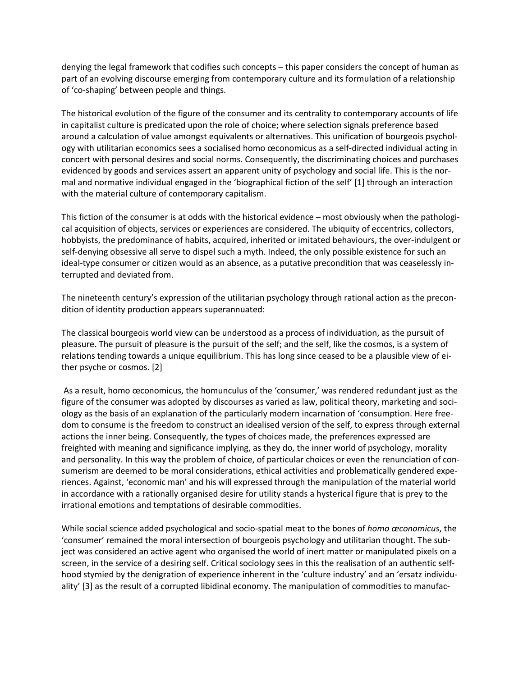denying the legal framework that codifies such concepts – this paper considers the concept of human as part of an evolving discourse emerging from contemporary culture and its formulation of a relationship of 'co-shaping' between people and things.

The historical evolution of the figure of the consumer and its centrality to contemporary accounts of life in capitalist culture is predicated upon the role of choice; where selection signals preference based around a calculation of value amongst equivalents or alternatives. This unification of bourgeois psychology with utilitarian economics sees a socialised homo œconomicus as a self-directed individual acting in concert with personal desires and social norms. Consequently, the discriminating choices and purchases evidenced by goods and services assert an apparent unity of psychology and social life. This is the normal and normative individual engaged in the 'biographical fiction of the self' [1] through an interaction with the material culture of contemporary capitalism.

This fiction of the consumer is at odds with the historical evidence – most obviously when the pathological acquisition of objects, services or experiences are considered. The ubiquity of eccentrics, collectors, hobbyists, the predominance of habits, acquired, inherited or imitated behaviours, the over-indulgent or self-denying obsessive all serve to dispel such a myth. Indeed, the only possible existence for such an ideal-type consumer or citizen would as an absence, as a putative precondition that was ceaselessly interrupted and deviated from.

The nineteenth century's expression of the utilitarian psychology through rational action as the precondition of identity production appears superannuated:

The classical bourgeois world view can be understood as a process of individuation, as the pursuit of pleasure. The pursuit of pleasure is the pursuit of the self; and the self, like the cosmos, is a system of relations tending towards a unique equilibrium. This has long since ceased to be a plausible view of either psyche or cosmos. [2]

As a result, homo œconomicus, the homunculus of the 'consumer,' was rendered redundant just as the figure of the consumer was adopted by discourses as varied as law, political theory, marketing and sociology as the basis of an explanation of the particularly modern incarnation of 'consumption. Here freedom to consume is the freedom to construct an idealised version of the self, to express through external actions the inner being. Consequently, the types of choices made, the preferences expressed are freighted with meaning and significance implying, as they do, the inner world of psychology, morality and personality. In this way the problem of choice, of particular choices or even the renunciation of consumerism are deemed to be moral considerations, ethical activities and problematically gendered experiences. Against, 'economic man' and his will expressed through the manipulation of the material world in accordance with a rationally organised desire for utility stands a hysterical figure that is prey to the irrational emotions and temptations of desirable commodities.

While social science added psychological and socio-spatial meat to the bones of *homo œconomicus*, the 'consumer' remained the moral intersection of bourgeois psychology and utilitarian thought. The subject was considered an active agent who organised the world of inert matter or manipulated pixels on a screen, in the service of a desiring self. Critical sociology sees in this the realisation of an authentic selfhood stymied by the denigration of experience inherent in the 'culture industry' and an 'ersatz individuality' [3] as the result of a corrupted libidinal economy. The manipulation of commodities to manufac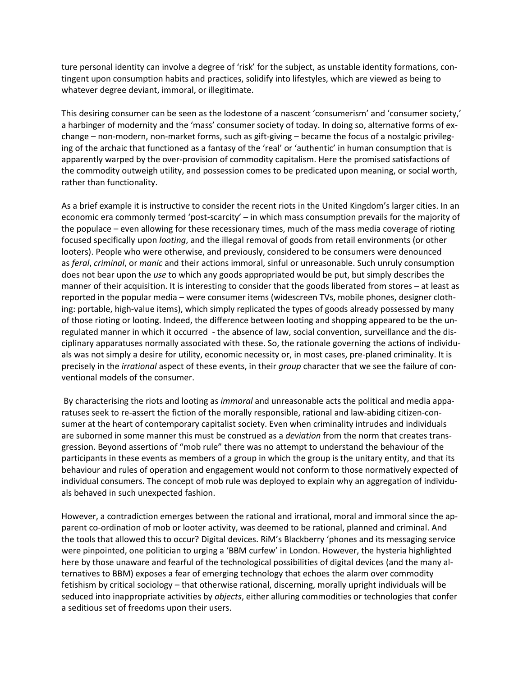ture personal identity can involve a degree of 'risk' for the subject, as unstable identity formations, contingent upon consumption habits and practices, solidify into lifestyles, which are viewed as being to whatever degree deviant, immoral, or illegitimate.

This desiring consumer can be seen as the lodestone of a nascent 'consumerism' and 'consumer society,' a harbinger of modernity and the 'mass' consumer society of today. In doing so, alternative forms of exchange – non-modern, non-market forms, such as gift-giving – became the focus of a nostalgic privileging of the archaic that functioned as a fantasy of the 'real' or 'authentic' in human consumption that is apparently warped by the over-provision of commodity capitalism. Here the promised satisfactions of the commodity outweigh utility, and possession comes to be predicated upon meaning, or social worth, rather than functionality.

As a brief example it is instructive to consider the recent riots in the United Kingdom's larger cities. In an economic era commonly termed 'post-scarcity' – in which mass consumption prevails for the majority of the populace – even allowing for these recessionary times, much of the mass media coverage of rioting focused specifically upon *looting*, and the illegal removal of goods from retail environments (or other looters). People who were otherwise, and previously, considered to be consumers were denounced as *feral*, *criminal*, or *manic* and their actions immoral, sinful or unreasonable. Such unruly consumption does not bear upon the *use* to which any goods appropriated would be put, but simply describes the manner of their acquisition. It is interesting to consider that the goods liberated from stores – at least as reported in the popular media – were consumer items (widescreen TVs, mobile phones, designer clothing: portable, high-value items), which simply replicated the types of goods already possessed by many of those rioting or looting. Indeed, the difference between looting and shopping appeared to be the unregulated manner in which it occurred - the absence of law, social convention, surveillance and the disciplinary apparatuses normally associated with these. So, the rationale governing the actions of individuals was not simply a desire for utility, economic necessity or, in most cases, pre-planed criminality. It is precisely in the *irrational* aspect of these events, in their *group* character that we see the failure of conventional models of the consumer.

By characterising the riots and looting as *immoral* and unreasonable acts the political and media apparatuses seek to re-assert the fiction of the morally responsible, rational and law-abiding citizen-consumer at the heart of contemporary capitalist society. Even when criminality intrudes and individuals are suborned in some manner this must be construed as a *deviation* from the norm that creates transgression. Beyond assertions of "mob rule" there was no attempt to understand the behaviour of the participants in these events as members of a group in which the group is the unitary entity, and that its behaviour and rules of operation and engagement would not conform to those normatively expected of individual consumers. The concept of mob rule was deployed to explain why an aggregation of individuals behaved in such unexpected fashion.

However, a contradiction emerges between the rational and irrational, moral and immoral since the apparent co-ordination of mob or looter activity, was deemed to be rational, planned and criminal. And the tools that allowed this to occur? Digital devices. RiM's Blackberry 'phones and its messaging service were pinpointed, one politician to urging a 'BBM curfew' in London. However, the hysteria highlighted here by those unaware and fearful of the technological possibilities of digital devices (and the many alternatives to BBM) exposes a fear of emerging technology that echoes the alarm over commodity fetishism by critical sociology – that otherwise rational, discerning, morally upright individuals will be seduced into inappropriate activities by *objects*, either alluring commodities or technologies that confer a seditious set of freedoms upon their users.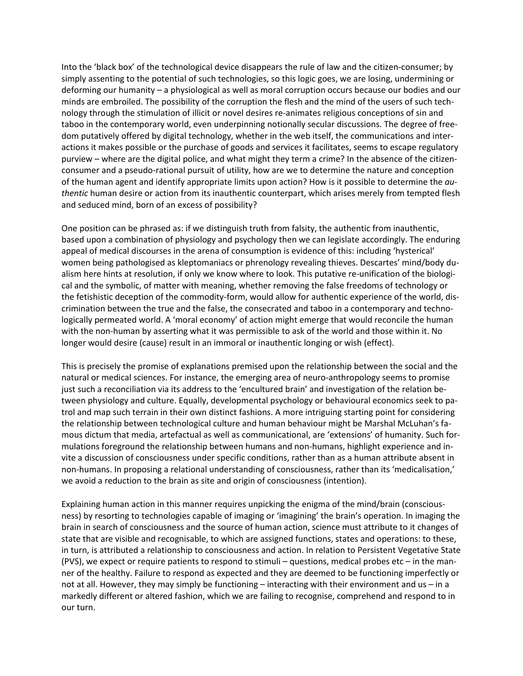Into the 'black box' of the technological device disappears the rule of law and the citizen-consumer; by simply assenting to the potential of such technologies, so this logic goes, we are losing, undermining or deforming our humanity – a physiological as well as moral corruption occurs because our bodies and our minds are embroiled. The possibility of the corruption the flesh and the mind of the users of such technology through the stimulation of illicit or novel desires re-animates religious conceptions of sin and taboo in the contemporary world, even underpinning notionally secular discussions. The degree of freedom putatively offered by digital technology, whether in the web itself, the communications and interactions it makes possible or the purchase of goods and services it facilitates, seems to escape regulatory purview – where are the digital police, and what might they term a crime? In the absence of the citizenconsumer and a pseudo-rational pursuit of utility, how are we to determine the nature and conception of the human agent and identify appropriate limits upon action? How is it possible to determine the *authentic* human desire or action from its inauthentic counterpart, which arises merely from tempted flesh and seduced mind, born of an excess of possibility?

One position can be phrased as: if we distinguish truth from falsity, the authentic from inauthentic, based upon a combination of physiology and psychology then we can legislate accordingly. The enduring appeal of medical discourses in the arena of consumption is evidence of this: including 'hysterical' women being pathologised as kleptomaniacs or phrenology revealing thieves. Descartes' mind/body dualism here hints at resolution, if only we know where to look. This putative re-unification of the biological and the symbolic, of matter with meaning, whether removing the false freedoms of technology or the fetishistic deception of the commodity-form, would allow for authentic experience of the world, discrimination between the true and the false, the consecrated and taboo in a contemporary and technologically permeated world. A 'moral economy' of action might emerge that would reconcile the human with the non-human by asserting what it was permissible to ask of the world and those within it. No longer would desire (cause) result in an immoral or inauthentic longing or wish (effect).

This is precisely the promise of explanations premised upon the relationship between the social and the natural or medical sciences. For instance, the emerging area of neuro-anthropology seems to promise just such a reconciliation via its address to the 'encultured brain' and investigation of the relation between physiology and culture. Equally, developmental psychology or behavioural economics seek to patrol and map such terrain in their own distinct fashions. A more intriguing starting point for considering the relationship between technological culture and human behaviour might be Marshal McLuhan's famous dictum that media, artefactual as well as communicational, are 'extensions' of humanity. Such formulations foreground the relationship between humans and non-humans, highlight experience and invite a discussion of consciousness under specific conditions, rather than as a human attribute absent in non-humans. In proposing a relational understanding of consciousness, rather than its 'medicalisation,' we avoid a reduction to the brain as site and origin of consciousness (intention).

Explaining human action in this manner requires unpicking the enigma of the mind/brain (consciousness) by resorting to technologies capable of imaging or 'imagining' the brain's operation. In imaging the brain in search of consciousness and the source of human action, science must attribute to it changes of state that are visible and recognisable, to which are assigned functions, states and operations: to these, in turn, is attributed a relationship to consciousness and action. In relation to Persistent Vegetative State (PVS), we expect or require patients to respond to stimuli – questions, medical probes etc – in the manner of the healthy. Failure to respond as expected and they are deemed to be functioning imperfectly or not at all. However, they may simply be functioning – interacting with their environment and us – in a markedly different or altered fashion, which we are failing to recognise, comprehend and respond to in our turn.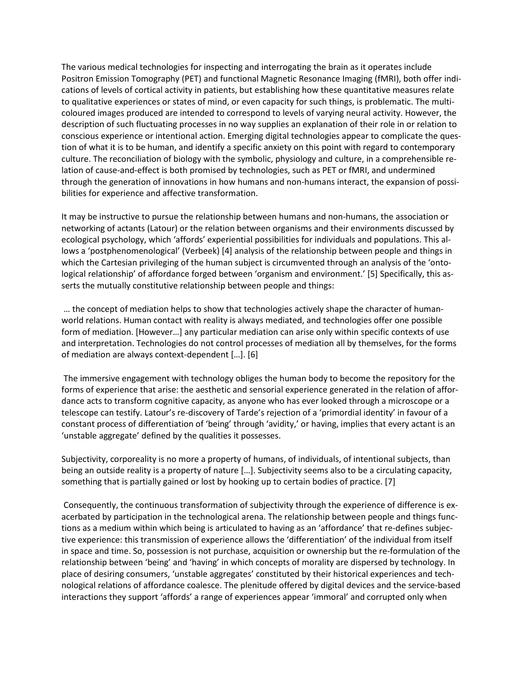The various medical technologies for inspecting and interrogating the brain as it operates include Positron Emission Tomography (PET) and functional Magnetic Resonance Imaging (fMRI), both offer indications of levels of cortical activity in patients, but establishing how these quantitative measures relate to qualitative experiences or states of mind, or even capacity for such things, is problematic. The multicoloured images produced are intended to correspond to levels of varying neural activity. However, the description of such fluctuating processes in no way supplies an explanation of their role in or relation to conscious experience or intentional action. Emerging digital technologies appear to complicate the question of what it is to be human, and identify a specific anxiety on this point with regard to contemporary culture. The reconciliation of biology with the symbolic, physiology and culture, in a comprehensible relation of cause-and-effect is both promised by technologies, such as PET or fMRI, and undermined through the generation of innovations in how humans and non-humans interact, the expansion of possibilities for experience and affective transformation.

It may be instructive to pursue the relationship between humans and non-humans, the association or networking of actants (Latour) or the relation between organisms and their environments discussed by ecological psychology, which 'affords' experiential possibilities for individuals and populations. This allows a 'postphenomenological' (Verbeek) [4] analysis of the relationship between people and things in which the Cartesian privileging of the human subject is circumvented through an analysis of the 'ontological relationship' of affordance forged between 'organism and environment.' [5] Specifically, this asserts the mutually constitutive relationship between people and things:

… the concept of mediation helps to show that technologies actively shape the character of humanworld relations. Human contact with reality is always mediated, and technologies offer one possible form of mediation. [However…] any particular mediation can arise only within specific contexts of use and interpretation. Technologies do not control processes of mediation all by themselves, for the forms of mediation are always context-dependent […]. [6]

The immersive engagement with technology obliges the human body to become the repository for the forms of experience that arise: the aesthetic and sensorial experience generated in the relation of affordance acts to transform cognitive capacity, as anyone who has ever looked through a microscope or a telescope can testify. Latour's re-discovery of Tarde's rejection of a 'primordial identity' in favour of a constant process of differentiation of 'being' through 'avidity,' or having, implies that every actant is an 'unstable aggregate' defined by the qualities it possesses.

Subjectivity, corporeality is no more a property of humans, of individuals, of intentional subjects, than being an outside reality is a property of nature […]. Subjectivity seems also to be a circulating capacity, something that is partially gained or lost by hooking up to certain bodies of practice. [7]

Consequently, the continuous transformation of subjectivity through the experience of difference is exacerbated by participation in the technological arena. The relationship between people and things functions as a medium within which being is articulated to having as an 'affordance' that re-defines subjective experience: this transmission of experience allows the 'differentiation' of the individual from itself in space and time. So, possession is not purchase, acquisition or ownership but the re-formulation of the relationship between 'being' and 'having' in which concepts of morality are dispersed by technology. In place of desiring consumers, 'unstable aggregates' constituted by their historical experiences and technological relations of affordance coalesce. The plenitude offered by digital devices and the service-based interactions they support 'affords' a range of experiences appear 'immoral' and corrupted only when